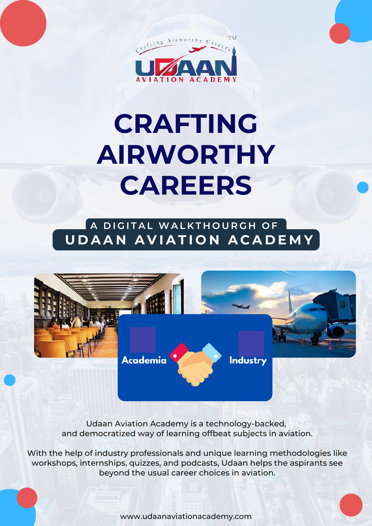

# **CRAFTING AIRWORTHY CAREERS**

#### **A D I G I T A L WA L K T H O U R G H O F U D A A N A V I A T I O N A C A D E M Y**



Udaan Aviation Academy is a technology-backed, and democratized way of learning offbeat subjects in aviation.

With the help of industry professionals and unique learning methodologies like workshops, internships, quizzes, and podcasts, Udaan helps the aspirants see beyond the usual career choices in aviation.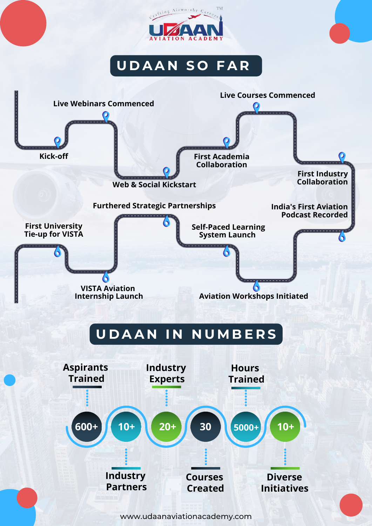

#### **U D A A N S O F A R**

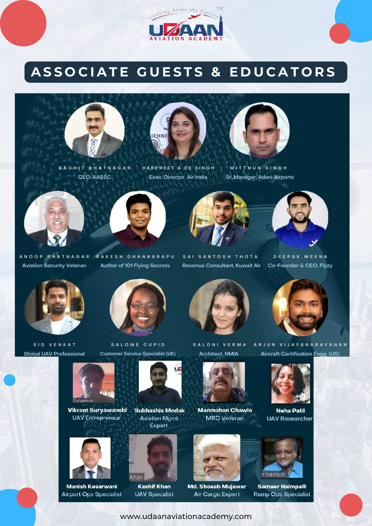

#### ASSOCIATE GUESTS & EDUCATORS





HARPREET A DE SINGH RACHIT BHATNAGAR CEO, AASSC

Exec. Director, Air India



MITTHUN SINGH Sr. Manager, Adani Airports





ANOOP BHATNAGAR RAKESH DHANNARAPU Author of 101 Flying Secrets



SAI SANTOSH THOTA Revenue Consultant, Kuwait Air



DEEPAK MEENA Co-Founder & CEO, Flyzy



**Aviation Security Veteran** 

SID VENKAT **Global UAV Professional** 



SALOME CUPID **Customer Service Specialist (UK)** 



SALONI VERMA **Architect, NMIA** 





**Neha Patil** 



**Vikrant Suryawanshi** 

**UAV Entrepreneur** 

**Manish Kesarwani Airport Ops Specialist** 





**Kashif Khan UAV Specalist** 





**Manmohan Chawla** 

**MRO** Veteran





**Sameer Naimpalli** 

ARJUN VIJAYANARAYANAN





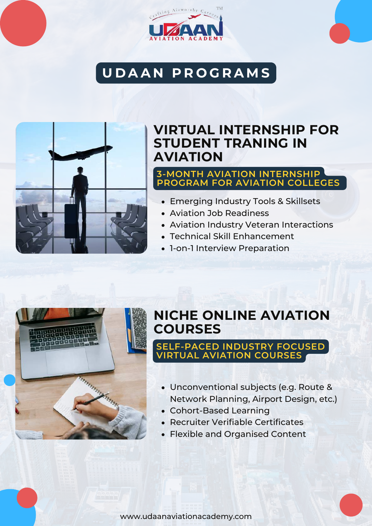

## **U D A A N P R O G R A M S**



#### **VIRTUAL INTERNSHIP FOR STUDENT TRANING IN AVIATION**

#### **3-MONTH AVIATION INTERNSHIP PROGRAM FOR AVIATION COLLEGES**

- Emerging Industry Tools & Skillsets
- Aviation Job Readiness
- Aviation Industry Veteran Interactions
- Technical Skill Enhancement
- 1-on-1 Interview Preparation



#### **NICHE ONLINE AVIATION COURSES**

#### **SELF-PACED INDUSTRY FOCUSED VIRTUAL AVIATION COURSES**

- Unconventional subjects (e.g. Route & Network Planning, Airport Design, etc.)
- Cohort-Based Learning
- Recruiter Verifiable Certificates
- Flexible and Organised Content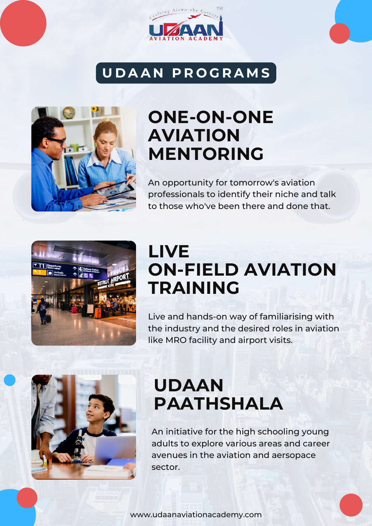

### **U D A A N P R O G R A M S**



## **ONE-ON-ONE AVIATION MENTORING**

An opportunity for tomorrow's aviation professionals to identify their niche and talk to those who've been there and done that.



## **LIVE ON-FIELD AVIATION TRAINING**

Live and hands-on way of familiarising with the industry and the desired roles in aviation like MRO facility and airport visits.



## **UDAAN PAATHSHALA**

An initiative for the high schooling young adults to explore various areas and career avenues in the aviation and aersopace sector.